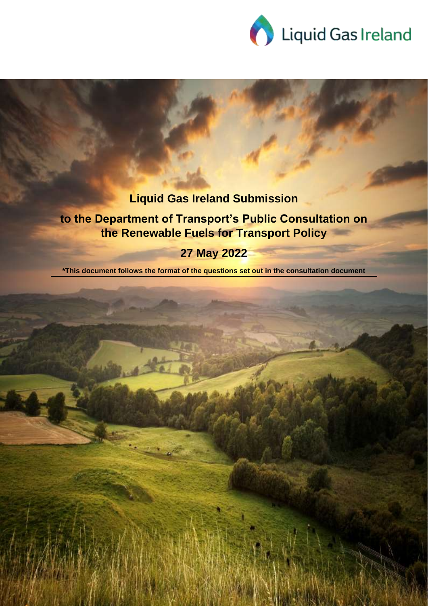

1

# **Liquid Gas Ireland Submission**

# **to the Department of Transport's Public Consultation on the Renewable Fuels for Transport Policy**

# **27 May 2022**

**\*This document follows the format of the questions set out in the consultation document**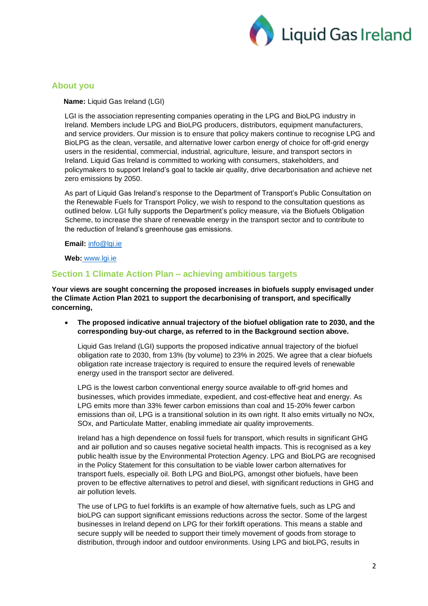

## **About you**

 **Name:** Liquid Gas Ireland (LGI)

LGI is the association representing companies operating in the LPG and BioLPG industry in Ireland. Members include LPG and BioLPG producers, distributors, equipment manufacturers, and service providers. Our mission is to ensure that policy makers continue to recognise LPG and BioLPG as the clean, versatile, and alternative lower carbon energy of choice for off-grid energy users in the residential, commercial, industrial, agriculture, leisure, and transport sectors in Ireland. Liquid Gas Ireland is committed to working with consumers, stakeholders, and policymakers to support Ireland's goal to tackle air quality, drive decarbonisation and achieve net zero emissions by 2050.

As part of Liquid Gas Ireland's response to the Department of Transport's Public Consultation on the Renewable Fuels for Transport Policy, we wish to respond to the consultation questions as outlined below. LGI fully supports the Department's policy measure, via the Biofuels Obligation Scheme, to increase the share of renewable energy in the transport sector and to contribute to the reduction of Ireland's greenhouse gas emissions.

#### **Email:** [info@lgi.ie](mailto:info@lgi.ie)

**Web:** [www.lgi.ie](http://www.lgi.ie/)

# **Section 1 Climate Action Plan – achieving ambitious targets**

**Your views are sought concerning the proposed increases in biofuels supply envisaged under the Climate Action Plan 2021 to support the decarbonising of transport, and specifically concerning,**

• **The proposed indicative annual trajectory of the biofuel obligation rate to 2030, and the corresponding buy-out charge, as referred to in the Background section above.**

Liquid Gas Ireland (LGI) supports the proposed indicative annual trajectory of the biofuel obligation rate to 2030, from 13% (by volume) to 23% in 2025. We agree that a clear biofuels obligation rate increase trajectory is required to ensure the required levels of renewable energy used in the transport sector are delivered.

LPG is the lowest carbon conventional energy source available to off-grid homes and businesses, which provides immediate, expedient, and cost-effective heat and energy. As LPG emits more than 33% fewer carbon emissions than coal and 15-20% fewer carbon emissions than oil. LPG is a transitional solution in its own right. It also emits virtually no NOx, SOx, and Particulate Matter, enabling immediate air quality improvements.

Ireland has a high dependence on fossil fuels for transport, which results in significant GHG and air pollution and so causes negative societal health impacts. This is recognised as a key public health issue by the Environmental Protection Agency. LPG and BioLPG are recognised in the Policy Statement for this consultation to be viable lower carbon alternatives for transport fuels, especially oil. Both LPG and BioLPG, amongst other biofuels, have been proven to be effective alternatives to petrol and diesel, with significant reductions in GHG and air pollution levels.

The use of LPG to fuel forklifts is an example of how alternative fuels, such as LPG and bioLPG can support significant emissions reductions across the sector. Some of the largest businesses in Ireland depend on LPG for their forklift operations. This means a stable and secure supply will be needed to support their timely movement of goods from storage to distribution, through indoor and outdoor environments. Using LPG and bioLPG, results in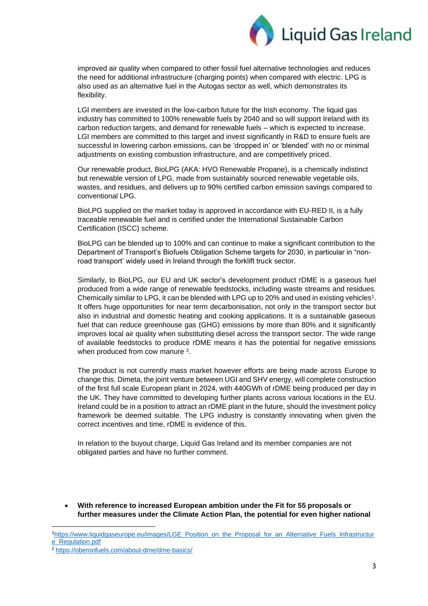

improved air quality when compared to other fossil fuel alternative technologies and reduces the need for additional infrastructure (charging points) when compared with electric. LPG is also used as an alternative fuel in the Autogas sector as well, which demonstrates its flexibility.

LGI members are invested in the low-carbon future for the Irish economy. The liquid gas industry has committed to 100% renewable fuels by 2040 and so will support Ireland with its carbon reduction targets, and demand for renewable fuels – which is expected to increase. LGI members are committed to this target and invest significantly in R&D to ensure fuels are successful in lowering carbon emissions, can be 'dropped in' or 'blended' with no or minimal adjustments on existing combustion infrastructure, and are competitively priced.

Our renewable product, BioLPG (AKA: HVO Renewable Propane), is a chemically indistinct but renewable version of LPG, made from sustainably sourced renewable vegetable oils, wastes, and residues, and delivers up to 90% certified carbon emission savings compared to conventional LPG.

BioLPG supplied on the market today is approved in accordance with EU-RED II, is a fully traceable renewable fuel and is certified under the International Sustainable Carbon Certification (ISCC) scheme.

BioLPG can be blended up to 100% and can continue to make a significant contribution to the Department of Transport's Biofuels Obligation Scheme targets for 2030, in particular in "nonroad transport' widely used in Ireland through the forklift truck sector.

Similarly, to BioLPG, our EU and UK sector's development product rDME is a gaseous fuel produced from a wide range of renewable feedstocks, including waste streams and residues. Chemically similar to LPG, it can be blended with LPG up to 20% and used in existing vehicles<sup>1</sup>. It offers huge opportunities for near term decarbonisation, not only in the transport sector but also in industrial and domestic heating and cooking applications. It is a sustainable gaseous fuel that can reduce greenhouse gas (GHG) emissions by more than 80% and it significantly improves local air quality when substituting diesel across the transport sector. The wide range of available feedstocks to produce rDME means it has the potential for negative emissions when produced from cow manure <sup>2</sup>.

The product is not currently mass market however efforts are being made across Europe to change this. Dimeta, the joint venture between UGI and SHV energy, will complete construction of the first full scale European plant in 2024, with 440GWh of rDME being produced per day in the UK. They have committed to developing further plants across various locations in the EU. Ireland could be in a position to attract an rDME plant in the future, should the investment policy framework be deemed suitable. The LPG industry is constantly innovating when given the correct incentives and time, rDME is evidence of this.

In relation to the buyout charge, Liquid Gas Ireland and its member companies are not obligated parties and have no further comment.

• **With reference to increased European ambition under the Fit for 55 proposals or further measures under the Climate Action Plan, the potential for even higher national** 

<sup>1</sup>[https://www.liquidgaseurope.eu/images/LGE\\_Position\\_on\\_the\\_Proposal\\_for\\_an\\_Alternative\\_Fuels\\_Infrastructur](https://www.liquidgaseurope.eu/images/LGE_Position_on_the_Proposal_for_an_Alternative_Fuels_Infrastructure_Regulation.pdf) [e\\_Regulation.pdf](https://www.liquidgaseurope.eu/images/LGE_Position_on_the_Proposal_for_an_Alternative_Fuels_Infrastructure_Regulation.pdf)

<sup>2</sup> <https://oberonfuels.com/about-dme/dme-basics/>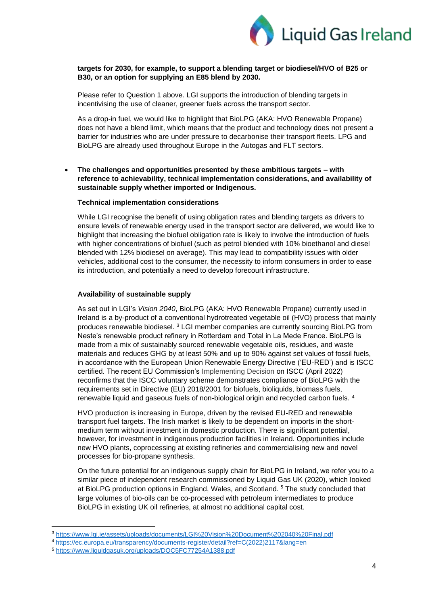

#### **targets for 2030, for example, to support a blending target or biodiesel/HVO of B25 or B30, or an option for supplying an E85 blend by 2030.**

Please refer to Question 1 above. LGI supports the introduction of blending targets in incentivising the use of cleaner, greener fuels across the transport sector.

As a drop-in fuel, we would like to highlight that BioLPG (AKA: HVO Renewable Propane) does not have a blend limit, which means that the product and technology does not present a barrier for industries who are under pressure to decarbonise their transport fleets. LPG and BioLPG are already used throughout Europe in the Autogas and FLT sectors.

• **The challenges and opportunities presented by these ambitious targets – with reference to achievability, technical implementation considerations, and availability of sustainable supply whether imported or Indigenous.**

#### **Technical implementation considerations**

While LGI recognise the benefit of using obligation rates and blending targets as drivers to ensure levels of renewable energy used in the transport sector are delivered, we would like to highlight that increasing the biofuel obligation rate is likely to involve the introduction of fuels with higher concentrations of biofuel (such as petrol blended with 10% bioethanol and diesel blended with 12% biodiesel on average). This may lead to compatibility issues with older vehicles, additional cost to the consumer, the necessity to inform consumers in order to ease its introduction, and potentially a need to develop forecourt infrastructure.

#### **Availability of sustainable supply**

As set out in LGI's *Vision 2040*, BioLPG (AKA: HVO Renewable Propane) currently used in Ireland is a by-product of a conventional hydrotreated vegetable oil (HVO) process that mainly produces renewable biodiesel. <sup>3</sup> LGI member companies are currently sourcing BioLPG from Neste's renewable product refinery in Rotterdam and Total in La Mede France. BioLPG is made from a mix of sustainably sourced renewable vegetable oils, residues, and waste materials and reduces GHG by at least 50% and up to 90% against set values of fossil fuels, in accordance with the European Union Renewable Energy Directive ('EU-RED') and is ISCC certified. The recent EU Commission's Implementing Decision on ISCC (April 2022) reconfirms that the ISCC voluntary scheme demonstrates compliance of BioLPG with the requirements set in Directive (EU) 2018/2001 for biofuels, bioliquids, biomass fuels, renewable liquid and gaseous fuels of non-biological origin and recycled carbon fuels. <sup>4</sup>

HVO production is increasing in Europe, driven by the revised EU-RED and renewable transport fuel targets. The Irish market is likely to be dependent on imports in the shortmedium term without investment in domestic production. There is significant potential, however, for investment in indigenous production facilities in Ireland. Opportunities include new HVO plants, coprocessing at existing refineries and commercialising new and novel processes for bio-propane synthesis.

On the future potential for an indigenous supply chain for BioLPG in Ireland, we refer you to a similar piece of independent research commissioned by Liquid Gas UK (2020), which looked at BioLPG production options in England, Wales, and Scotland.<sup>5</sup> The study concluded that large volumes of bio-oils can be co-processed with petroleum intermediates to produce BioLPG in existing UK oil refineries, at almost no additional capital cost.

<sup>3</sup> <https://www.lgi.ie/assets/uploads/documents/LGI%20Vision%20Document%202040%20Final.pdf>

<sup>4</sup> [https://ec.europa.eu/transparency/documents-register/detail?ref=C\(2022\)2117&lang=en](https://ec.europa.eu/transparency/documents-register/detail?ref=C(2022)2117&lang=en)

<sup>5</sup> <https://www.liquidgasuk.org/uploads/DOC5FC77254A1388.pdf>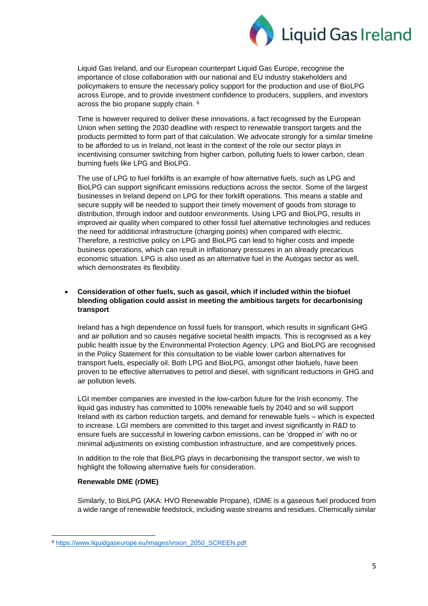

Liquid Gas Ireland, and our European counterpart Liquid Gas Europe, recognise the importance of close collaboration with our national and EU industry stakeholders and policymakers to ensure the necessary policy support for the production and use of BioLPG across Europe, and to provide investment confidence to producers, suppliers, and investors across the bio propane supply chain. <sup>6</sup>

Time is however required to deliver these innovations, a fact recognised by the European Union when setting the 2030 deadline with respect to renewable transport targets and the products permitted to form part of that calculation. We advocate strongly for a similar timeline to be afforded to us in Ireland, not least in the context of the role our sector plays in incentivising consumer switching from higher carbon, polluting fuels to lower carbon, clean burning fuels like LPG and BioLPG.

The use of LPG to fuel forklifts is an example of how alternative fuels, such as LPG and BioLPG can support significant emissions reductions across the sector. Some of the largest businesses in Ireland depend on LPG for their forklift operations. This means a stable and secure supply will be needed to support their timely movement of goods from storage to distribution, through indoor and outdoor environments. Using LPG and BioLPG, results in improved air quality when compared to other fossil fuel alternative technologies and reduces the need for additional infrastructure (charging points) when compared with electric. Therefore, a restrictive policy on LPG and BioLPG can lead to higher costs and impede business operations, which can result in inflationary pressures in an already precarious economic situation. LPG is also used as an alternative fuel in the Autogas sector as well, which demonstrates its flexibility.

## • **Consideration of other fuels, such as gasoil, which if included within the biofuel blending obligation could assist in meeting the ambitious targets for decarbonising transport**

Ireland has a high dependence on fossil fuels for transport, which results in significant GHG and air pollution and so causes negative societal health impacts. This is recognised as a key public health issue by the Environmental Protection Agency. LPG and BioLPG are recognised in the Policy Statement for this consultation to be viable lower carbon alternatives for transport fuels, especially oil. Both LPG and BioLPG, amongst other biofuels, have been proven to be effective alternatives to petrol and diesel, with significant reductions in GHG and air pollution levels.

LGI member companies are invested in the low-carbon future for the Irish economy. The liquid gas industry has committed to 100% renewable fuels by 2040 and so will support Ireland with its carbon reduction targets, and demand for renewable fuels – which is expected to increase. LGI members are committed to this target and invest significantly in R&D to ensure fuels are successful in lowering carbon emissions, can be 'dropped in' with no or minimal adjustments on existing combustion infrastructure, and are competitively prices.

In addition to the role that BioLPG plays in decarbonising the transport sector, we wish to highlight the following alternative fuels for consideration.

#### **Renewable DME (rDME)**

Similarly, to BioLPG (AKA: HVO Renewable Propane), rDME is a gaseous fuel produced from a wide range of renewable feedstock, including waste streams and residues. Chemically similar

<sup>6</sup> [https://www.liquidgaseurope.eu/images/vision\\_2050\\_SCREEN.pdf](https://www.liquidgaseurope.eu/images/vision_2050_SCREEN.pdf)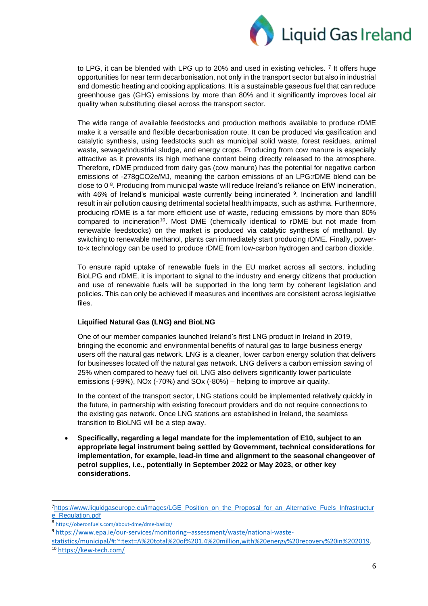

to LPG, it can be blended with LPG up to 20% and used in existing vehicles. 7 It offers huge opportunities for near term decarbonisation, not only in the transport sector but also in industrial and domestic heating and cooking applications. It is a sustainable gaseous fuel that can reduce greenhouse gas (GHG) emissions by more than 80% and it significantly improves local air quality when substituting diesel across the transport sector.

The wide range of available feedstocks and production methods available to produce rDME make it a versatile and flexible decarbonisation route. It can be produced via gasification and catalytic synthesis, using feedstocks such as municipal solid waste, forest residues, animal waste, sewage/industrial sludge, and energy crops. Producing from cow manure is especially attractive as it prevents its high methane content being directly released to the atmosphere. Therefore, rDME produced from dairy gas (cow manure) has the potential for negative carbon emissions of -278gCO2e/MJ, meaning the carbon emissions of an LPG:rDME blend can be close to 0 $8$ . Producing from municipal waste will reduce Ireland's reliance on EfW incineration, with 46% of Ireland's municipal waste currently being incinerated <sup>9</sup>. Incineration and landfill result in air pollution causing detrimental societal health impacts, such as asthma. Furthermore, producing rDME is a far more efficient use of waste, reducing emissions by more than 80% compared to incineration<sup>10</sup>. Most DME (chemically identical to rDME but not made from renewable feedstocks) on the market is produced via catalytic synthesis of methanol. By switching to renewable methanol, plants can immediately start producing rDME. Finally, powerto-x technology can be used to produce rDME from low-carbon hydrogen and carbon dioxide.

To ensure rapid uptake of renewable fuels in the EU market across all sectors, including BioLPG and rDME, it is important to signal to the industry and energy citizens that production and use of renewable fuels will be supported in the long term by coherent legislation and policies. This can only be achieved if measures and incentives are consistent across legislative files.

## **Liquified Natural Gas (LNG) and BioLNG**

One of our member companies launched Ireland's first LNG product in Ireland in 2019, bringing the economic and environmental benefits of natural gas to large business energy users off the natural gas network. LNG is a cleaner, lower carbon energy solution that delivers for businesses located off the natural gas network. LNG delivers a carbon emission saving of 25% when compared to heavy fuel oil. LNG also delivers significantly lower particulate emissions (-99%), NOx (-70%) and SOx (-80%) – helping to improve air quality.

In the context of the transport sector, LNG stations could be implemented relatively quickly in the future, in partnership with existing forecourt providers and do not require connections to the existing gas network. Once LNG stations are established in Ireland, the seamless transition to BioLNG will be a step away.

• **Specifically, regarding a legal mandate for the implementation of E10, subject to an appropriate legal instrument being settled by Government, technical considerations for implementation, for example, lead-in time and alignment to the seasonal changeover of petrol supplies, i.e., potentially in September 2022 or May 2023, or other key considerations.**

<sup>7</sup>[https://www.liquidgaseurope.eu/images/LGE\\_Position\\_on\\_the\\_Proposal\\_for\\_an\\_Alternative\\_Fuels\\_Infrastructur](https://www.liquidgaseurope.eu/images/LGE_Position_on_the_Proposal_for_an_Alternative_Fuels_Infrastructure_Regulation.pdf) [e\\_Regulation.pdf](https://www.liquidgaseurope.eu/images/LGE_Position_on_the_Proposal_for_an_Alternative_Fuels_Infrastructure_Regulation.pdf)

<sup>8</sup> <https://oberonfuels.com/about-dme/dme-basics/>

<sup>9</sup> [https://www.epa.ie/our-services/monitoring--assessment/waste/national-waste-](https://www.epa.ie/our-services/monitoring--assessment/waste/national-waste-statistics/municipal/#:~:text=A%20total%20of%201.4%20million,with%20energy%20recovery%20in%202019)

[statistics/municipal/#:~:text=A%20total%20of%201.4%20million,with%20energy%20recovery%20in%202019.](https://www.epa.ie/our-services/monitoring--assessment/waste/national-waste-statistics/municipal/#:~:text=A%20total%20of%201.4%20million,with%20energy%20recovery%20in%202019)

<sup>10</sup> <https://kew-tech.com/>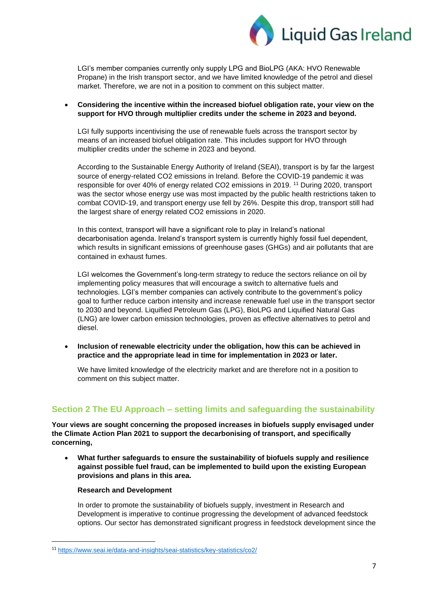

LGI's member companies currently only supply LPG and BioLPG (AKA: HVO Renewable Propane) in the Irish transport sector, and we have limited knowledge of the petrol and diesel market. Therefore, we are not in a position to comment on this subject matter.

• **Considering the incentive within the increased biofuel obligation rate, your view on the support for HVO through multiplier credits under the scheme in 2023 and beyond.**

LGI fully supports incentivising the use of renewable fuels across the transport sector by means of an increased biofuel obligation rate. This includes support for HVO through multiplier credits under the scheme in 2023 and beyond.

According to the Sustainable Energy Authority of Ireland (SEAI), transport is by far the largest source of energy-related CO2 emissions in Ireland. Before the COVID-19 pandemic it was responsible for over 40% of energy related CO2 emissions in 2019. <sup>11</sup> During 2020, transport was the sector whose energy use was most impacted by the public health restrictions taken to combat COVID-19, and transport energy use fell by 26%. Despite this drop, transport still had the largest share of energy related CO2 emissions in 2020.

In this context, transport will have a significant role to play in Ireland's national decarbonisation agenda. Ireland's transport system is currently highly fossil fuel dependent, which results in significant emissions of greenhouse gases (GHGs) and air pollutants that are contained in exhaust fumes.

LGI welcomes the Government's long-term strategy to reduce the sectors reliance on oil by implementing policy measures that will encourage a switch to alternative fuels and technologies. LGI's member companies can actively contribute to the government's policy goal to further reduce carbon intensity and increase renewable fuel use in the transport sector to 2030 and beyond. Liquified Petroleum Gas (LPG), BioLPG and Liquified Natural Gas (LNG) are lower carbon emission technologies, proven as effective alternatives to petrol and diesel.

• **Inclusion of renewable electricity under the obligation, how this can be achieved in practice and the appropriate lead in time for implementation in 2023 or later.**

We have limited knowledge of the electricity market and are therefore not in a position to comment on this subject matter.

# **Section 2 The EU Approach – setting limits and safeguarding the sustainability**

**Your views are sought concerning the proposed increases in biofuels supply envisaged under the Climate Action Plan 2021 to support the decarbonising of transport, and specifically concerning,**

• **What further safeguards to ensure the sustainability of biofuels supply and resilience against possible fuel fraud, can be implemented to build upon the existing European provisions and plans in this area.**

#### **Research and Development**

In order to promote the sustainability of biofuels supply, investment in Research and Development is imperative to continue progressing the development of advanced feedstock options. Our sector has demonstrated significant progress in feedstock development since the

<sup>11</sup> <https://www.seai.ie/data-and-insights/seai-statistics/key-statistics/co2/>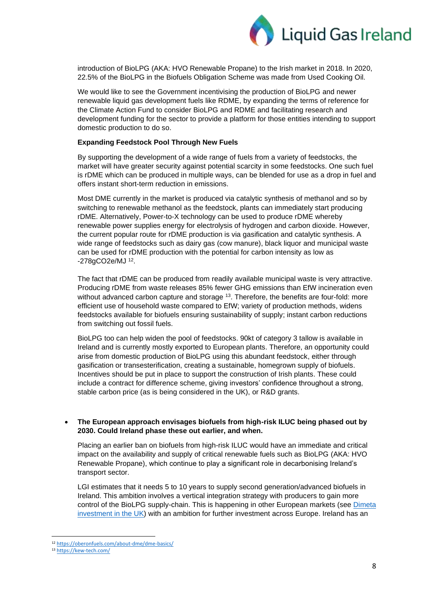

introduction of BioLPG (AKA: HVO Renewable Propane) to the Irish market in 2018. In 2020, 22.5% of the BioLPG in the Biofuels Obligation Scheme was made from Used Cooking Oil.

We would like to see the Government incentivising the production of BioLPG and newer renewable liquid gas development fuels like RDME, by expanding the terms of reference for the Climate Action Fund to consider BioLPG and RDME and facilitating research and development funding for the sector to provide a platform for those entities intending to support domestic production to do so.

#### **Expanding Feedstock Pool Through New Fuels**

By supporting the development of a wide range of fuels from a variety of feedstocks, the market will have greater security against potential scarcity in some feedstocks. One such fuel is rDME which can be produced in multiple ways, can be blended for use as a drop in fuel and offers instant short-term reduction in emissions.

Most DME currently in the market is produced via catalytic synthesis of methanol and so by switching to renewable methanol as the feedstock, plants can immediately start producing rDME. Alternatively, Power-to-X technology can be used to produce rDME whereby renewable power supplies energy for electrolysis of hydrogen and carbon dioxide. However, the current popular route for rDME production is via gasification and catalytic synthesis. A wide range of feedstocks such as dairy gas (cow manure), black liquor and municipal waste can be used for rDME production with the potential for carbon intensity as low as -278gCO2e/MJ <sup>12</sup>.

The fact that rDME can be produced from readily available municipal waste is very attractive. Producing rDME from waste releases 85% fewer GHG emissions than EfW incineration even without advanced carbon capture and storage <sup>13</sup>. Therefore, the benefits are four-fold: more efficient use of household waste compared to EfW; variety of production methods, widens feedstocks available for biofuels ensuring sustainability of supply; instant carbon reductions from switching out fossil fuels.

BioLPG too can help widen the pool of feedstocks. 90kt of category 3 tallow is available in Ireland and is currently mostly exported to European plants. Therefore, an opportunity could arise from domestic production of BioLPG using this abundant feedstock, either through gasification or transesterification, creating a sustainable, homegrown supply of biofuels. Incentives should be put in place to support the construction of Irish plants. These could include a contract for difference scheme, giving investors' confidence throughout a strong, stable carbon price (as is being considered in the UK), or R&D grants.

#### • **The European approach envisages biofuels from high-risk ILUC being phased out by 2030. Could Ireland phase these out earlier, and when.**

Placing an earlier ban on biofuels from high-risk ILUC would have an immediate and critical impact on the availability and supply of critical renewable fuels such as BioLPG (AKA: HVO Renewable Propane), which continue to play a significant role in decarbonising Ireland's transport sector.

LGI estimates that it needs 5 to 10 years to supply second generation/advanced biofuels in Ireland. This ambition involves a vertical integration strategy with producers to gain more control of the BioLPG supply-chain. This is happening in other European markets (see [Dimeta](https://www.ugi-international.com/news/dimeta-announces-intended-location-its-first-commercial-scale-rdme-production-plant-teesworks)  [investment in the UK\)](https://www.ugi-international.com/news/dimeta-announces-intended-location-its-first-commercial-scale-rdme-production-plant-teesworks) with an ambition for further investment across Europe. Ireland has an

<sup>12</sup> <https://oberonfuels.com/about-dme/dme-basics/>

<sup>13</sup> <https://kew-tech.com/>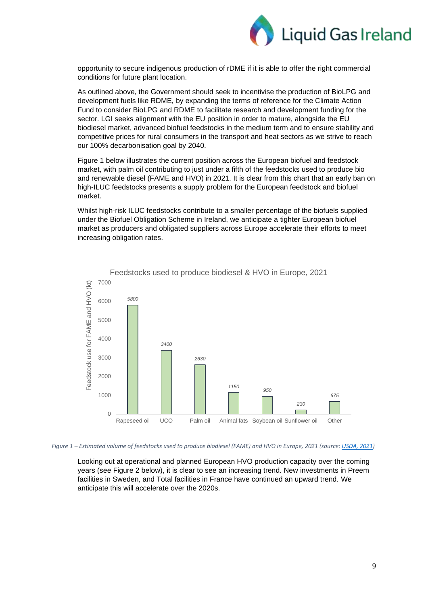

opportunity to secure indigenous production of rDME if it is able to offer the right commercial conditions for future plant location.

As outlined above, the Government should seek to incentivise the production of BioLPG and development fuels like RDME, by expanding the terms of reference for the Climate Action Fund to consider BioLPG and RDME to facilitate research and development funding for the sector. LGI seeks alignment with the EU position in order to mature, alongside the EU biodiesel market, advanced biofuel feedstocks in the medium term and to ensure stability and competitive prices for rural consumers in the transport and heat sectors as we strive to reach our 100% decarbonisation goal by 2040.

Figure 1 below illustrates the current position across the European biofuel and feedstock market, with palm oil contributing to just under a fifth of the feedstocks used to produce bio and renewable diesel (FAME and HVO) in 2021. It is clear from this chart that an early ban on high-ILUC feedstocks presents a supply problem for the European feedstock and biofuel market.

Whilst high-risk ILUC feedstocks contribute to a smaller percentage of the biofuels supplied under the Biofuel Obligation Scheme in Ireland, we anticipate a tighter European biofuel market as producers and obligated suppliers across Europe accelerate their efforts to meet increasing obligation rates.



Feedstocks used to produce biodiesel & HVO in Europe, 2021

*Figure 1 – Estimated volume of feedstocks used to produce biodiesel (FAME) and HVO in Europe, 2021 (source[: USDA, 2021\)](https://apps.fas.usda.gov/newgainapi/api/Report/DownloadReportByFileName?fileName=Biofuels%20Annual_The%20Hague_European%20Union_06-18-2021.pdf)*

Looking out at operational and planned European HVO production capacity over the coming years (see Figure 2 below), it is clear to see an increasing trend. New investments in Preem facilities in Sweden, and Total facilities in France have continued an upward trend. We anticipate this will accelerate over the 2020s.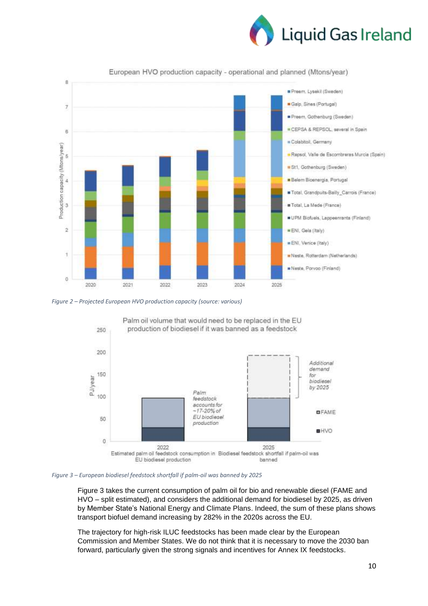



European HVO production capacity - operational and planned (Mtons/year)

*Figure 2 – Projected European HVO production capacity (source: various)*



*Figure 3 – European biodiesel feedstock shortfall if palm-oil was banned by 2025*

Figure 3 takes the current consumption of palm oil for bio and renewable diesel (FAME and HVO – split estimated), and considers the additional demand for biodiesel by 2025, as driven by Member State's National Energy and Climate Plans. Indeed, the sum of these plans shows transport biofuel demand increasing by 282% in the 2020s across the EU.

The trajectory for high-risk ILUC feedstocks has been made clear by the European Commission and Member States. We do not think that it is necessary to move the 2030 ban forward, particularly given the strong signals and incentives for Annex IX feedstocks.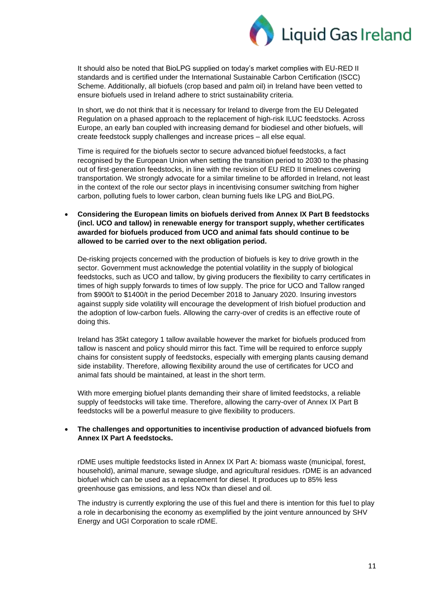

It should also be noted that BioLPG supplied on today's market complies with EU-RED II standards and is certified under the International Sustainable Carbon Certification (ISCC) Scheme. Additionally, all biofuels (crop based and palm oil) in Ireland have been vetted to ensure biofuels used in Ireland adhere to strict sustainability criteria.

In short, we do not think that it is necessary for Ireland to diverge from the EU Delegated Regulation on a phased approach to the replacement of high-risk ILUC feedstocks. Across Europe, an early ban coupled with increasing demand for biodiesel and other biofuels, will create feedstock supply challenges and increase prices – all else equal.

Time is required for the biofuels sector to secure advanced biofuel feedstocks, a fact recognised by the European Union when setting the transition period to 2030 to the phasing out of first-generation feedstocks, in line with the revision of EU RED II timelines covering transportation. We strongly advocate for a similar timeline to be afforded in Ireland, not least in the context of the role our sector plays in incentivising consumer switching from higher carbon, polluting fuels to lower carbon, clean burning fuels like LPG and BioLPG.

• **Considering the European limits on biofuels derived from Annex IX Part B feedstocks (incl. UCO and tallow) in renewable energy for transport supply, whether certificates awarded for biofuels produced from UCO and animal fats should continue to be allowed to be carried over to the next obligation period.**

De-risking projects concerned with the production of biofuels is key to drive growth in the sector. Government must acknowledge the potential volatility in the supply of biological feedstocks, such as UCO and tallow, by giving producers the flexibility to carry certificates in times of high supply forwards to times of low supply. The price for UCO and Tallow ranged from \$900/t to \$1400/t in the period December 2018 to January 2020. Insuring investors against supply side volatility will encourage the development of Irish biofuel production and the adoption of low-carbon fuels. Allowing the carry-over of credits is an effective route of doing this.

Ireland has 35kt category 1 tallow available however the market for biofuels produced from tallow is nascent and policy should mirror this fact. Time will be required to enforce supply chains for consistent supply of feedstocks, especially with emerging plants causing demand side instability. Therefore, allowing flexibility around the use of certificates for UCO and animal fats should be maintained, at least in the short term.

With more emerging biofuel plants demanding their share of limited feedstocks, a reliable supply of feedstocks will take time. Therefore, allowing the carry-over of Annex IX Part B feedstocks will be a powerful measure to give flexibility to producers.

## • **The challenges and opportunities to incentivise production of advanced biofuels from Annex IX Part A feedstocks.**

rDME uses multiple feedstocks listed in Annex IX Part A: biomass waste (municipal, forest, household), animal manure, sewage sludge, and agricultural residues. rDME is an advanced biofuel which can be used as a replacement for diesel. It produces up to 85% less greenhouse gas emissions, and less NOx than diesel and oil.

The industry is currently exploring the use of this fuel and there is intention for this fuel to play a role in decarbonising the economy as exemplified by the joint venture announced by SHV Energy and UGI Corporation to scale rDME.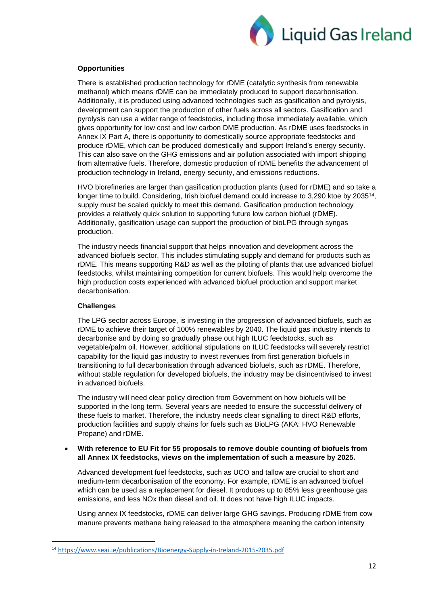

#### **Opportunities**

There is established production technology for rDME (catalytic synthesis from renewable methanol) which means rDME can be immediately produced to support decarbonisation. Additionally, it is produced using advanced technologies such as gasification and pyrolysis, development can support the production of other fuels across all sectors. Gasification and pyrolysis can use a wider range of feedstocks, including those immediately available, which gives opportunity for low cost and low carbon DME production. As rDME uses feedstocks in Annex IX Part A, there is opportunity to domestically source appropriate feedstocks and produce rDME, which can be produced domestically and support Ireland's energy security. This can also save on the GHG emissions and air pollution associated with import shipping from alternative fuels. Therefore, domestic production of rDME benefits the advancement of production technology in Ireland, energy security, and emissions reductions.

HVO biorefineries are larger than gasification production plants (used for rDME) and so take a longer time to build. Considering, Irish biofuel demand could increase to 3,290 ktoe by 2035<sup>14</sup>, supply must be scaled quickly to meet this demand. Gasification production technology provides a relatively quick solution to supporting future low carbon biofuel (rDME). Additionally, gasification usage can support the production of bioLPG through syngas production.

The industry needs financial support that helps innovation and development across the advanced biofuels sector. This includes stimulating supply and demand for products such as rDME. This means supporting R&D as well as the piloting of plants that use advanced biofuel feedstocks, whilst maintaining competition for current biofuels. This would help overcome the high production costs experienced with advanced biofuel production and support market decarbonisation.

#### **Challenges**

The LPG sector across Europe, is investing in the progression of advanced biofuels, such as rDME to achieve their target of 100% renewables by 2040. The liquid gas industry intends to decarbonise and by doing so gradually phase out high ILUC feedstocks, such as vegetable/palm oil. However, additional stipulations on ILUC feedstocks will severely restrict capability for the liquid gas industry to invest revenues from first generation biofuels in transitioning to full decarbonisation through advanced biofuels, such as rDME. Therefore, without stable regulation for developed biofuels, the industry may be disincentivised to invest in advanced biofuels.

The industry will need clear policy direction from Government on how biofuels will be supported in the long term. Several years are needed to ensure the successful delivery of these fuels to market. Therefore, the industry needs clear signalling to direct R&D efforts, production facilities and supply chains for fuels such as BioLPG (AKA: HVO Renewable Propane) and rDME.

#### • **With reference to EU Fit for 55 proposals to remove double counting of biofuels from all Annex IX feedstocks, views on the implementation of such a measure by 2025.**

Advanced development fuel feedstocks, such as UCO and tallow are crucial to short and medium-term decarbonisation of the economy. For example, rDME is an advanced biofuel which can be used as a replacement for diesel. It produces up to 85% less greenhouse gas emissions, and less NOx than diesel and oil. It does not have high ILUC impacts.

Using annex IX feedstocks, rDME can deliver large GHG savings. Producing rDME from cow manure prevents methane being released to the atmosphere meaning the carbon intensity

<sup>14</sup> <https://www.seai.ie/publications/Bioenergy-Supply-in-Ireland-2015-2035.pdf>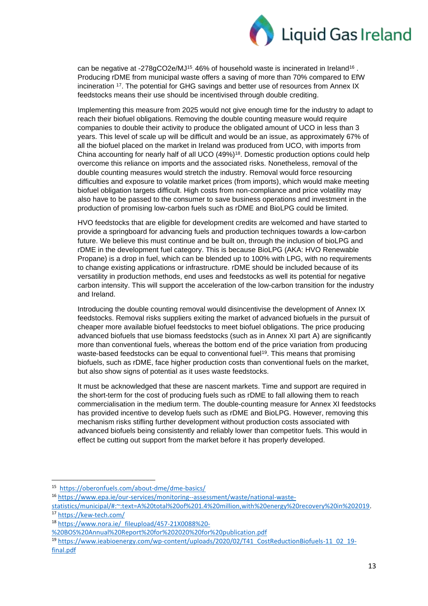

can be negative at -278gCO2e/MJ<sup>15</sup>. 46% of household waste is incinerated in Ireland<sup>16</sup>. Producing rDME from municipal waste offers a saving of more than 70% compared to EfW incineration <sup>17</sup> . The potential for GHG savings and better use of resources from Annex IX feedstocks means their use should be incentivised through double crediting.

Implementing this measure from 2025 would not give enough time for the industry to adapt to reach their biofuel obligations. Removing the double counting measure would require companies to double their activity to produce the obligated amount of UCO in less than 3 years. This level of scale up will be difficult and would be an issue, as approximately 67% of all the biofuel placed on the market in Ireland was produced from UCO, with imports from China accounting for nearly half of all UCO (49%)<sup>18</sup>. Domestic production options could help overcome this reliance on imports and the associated risks. Nonetheless, removal of the double counting measures would stretch the industry. Removal would force resourcing difficulties and exposure to volatile market prices (from imports), which would make meeting biofuel obligation targets difficult. High costs from non-compliance and price volatility may also have to be passed to the consumer to save business operations and investment in the production of promising low-carbon fuels such as rDME and BioLPG could be limited.

HVO feedstocks that are eligible for development credits are welcomed and have started to provide a springboard for advancing fuels and production techniques towards a low-carbon future. We believe this must continue and be built on, through the inclusion of bioLPG and rDME in the development fuel category. This is because BioLPG (AKA: HVO Renewable Propane) is a drop in fuel, which can be blended up to 100% with LPG, with no requirements to change existing applications or infrastructure. rDME should be included because of its versatility in production methods, end uses and feedstocks as well its potential for negative carbon intensity. This will support the acceleration of the low-carbon transition for the industry and Ireland.

Introducing the double counting removal would disincentivise the development of Annex IX feedstocks. Removal risks suppliers exiting the market of advanced biofuels in the pursuit of cheaper more available biofuel feedstocks to meet biofuel obligations. The price producing advanced biofuels that use biomass feedstocks (such as in Annex XI part A) are significantly more than conventional fuels, whereas the bottom end of the price variation from producing waste-based feedstocks can be equal to conventional fuel<sup>19</sup>. This means that promising biofuels, such as rDME, face higher production costs than conventional fuels on the market, but also show signs of potential as it uses waste feedstocks.

It must be acknowledged that these are nascent markets. Time and support are required in the short-term for the cost of producing fuels such as rDME to fall allowing them to reach commercialisation in the medium term. The double-counting measure for Annex XI feedstocks has provided incentive to develop fuels such as rDME and BioLPG. However, removing this mechanism risks stifling further development without production costs associated with advanced biofuels being consistently and reliably lower than competitor fuels. This would in effect be cutting out support from the market before it has properly developed.

<sup>15</sup> <https://oberonfuels.com/about-dme/dme-basics/>

<sup>16</sup> [https://www.epa.ie/our-services/monitoring--assessment/waste/national-waste-](https://www.epa.ie/our-services/monitoring--assessment/waste/national-waste-statistics/municipal/#:~:text=A%20total%20of%201.4%20million,with%20energy%20recovery%20in%202019)

[statistics/municipal/#:~:text=A%20total%20of%201.4%20million,with%20energy%20recovery%20in%202019.](https://www.epa.ie/our-services/monitoring--assessment/waste/national-waste-statistics/municipal/#:~:text=A%20total%20of%201.4%20million,with%20energy%20recovery%20in%202019) <sup>17</sup> <https://kew-tech.com/>

<sup>18</sup> [https://www.nora.ie/\\_fileupload/457-21X0088%20-](https://www.nora.ie/_fileupload/457-21X0088%20-%20BOS%20Annual%20Report%20for%202020%20for%20publication.pdf)

[<sup>%20</sup>BOS%20Annual%20Report%20for%202020%20for%20publication.pdf](https://www.nora.ie/_fileupload/457-21X0088%20-%20BOS%20Annual%20Report%20for%202020%20for%20publication.pdf)

<sup>&</sup>lt;sup>19</sup> [https://www.ieabioenergy.com/wp-content/uploads/2020/02/T41\\_CostReductionBiofuels-11\\_02\\_19](https://www.ieabioenergy.com/wp-content/uploads/2020/02/T41_CostReductionBiofuels-11_02_19-final.pdf) [final.pdf](https://www.ieabioenergy.com/wp-content/uploads/2020/02/T41_CostReductionBiofuels-11_02_19-final.pdf)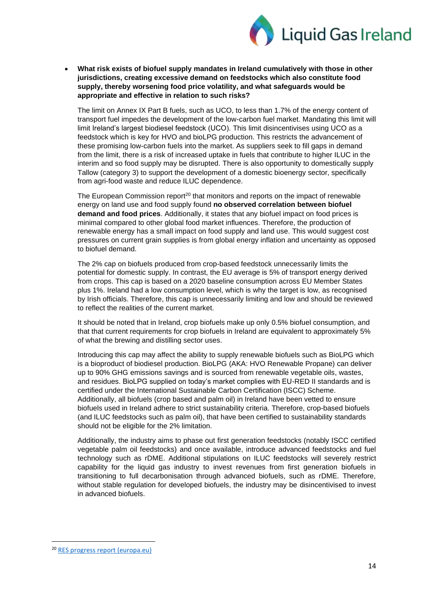

• **What risk exists of biofuel supply mandates in Ireland cumulatively with those in other jurisdictions, creating excessive demand on feedstocks which also constitute food supply, thereby worsening food price volatility, and what safeguards would be appropriate and effective in relation to such risks?**

The limit on Annex IX Part B fuels, such as UCO, to less than 1.7% of the energy content of transport fuel impedes the development of the low-carbon fuel market. Mandating this limit will limit Ireland's largest biodiesel feedstock (UCO). This limit disincentivises using UCO as a feedstock which is key for HVO and bioLPG production. This restricts the advancement of these promising low-carbon fuels into the market. As suppliers seek to fill gaps in demand from the limit, there is a risk of increased uptake in fuels that contribute to higher ILUC in the interim and so food supply may be disrupted. There is also opportunity to domestically supply Tallow (category 3) to support the development of a domestic bioenergy sector, specifically from agri-food waste and reduce ILUC dependence.

The European Commission report<sup>20</sup> that monitors and reports on the impact of renewable energy on land use and food supply found **no observed correlation between biofuel demand and food prices**. Additionally, it states that any biofuel impact on food prices is minimal compared to other global food market influences. Therefore, the production of renewable energy has a small impact on food supply and land use. This would suggest cost pressures on current grain supplies is from global energy inflation and uncertainty as opposed to biofuel demand.

The 2% cap on biofuels produced from crop-based feedstock unnecessarily limits the potential for domestic supply. In contrast, the EU average is 5% of transport energy derived from crops. This cap is based on a 2020 baseline consumption across EU Member States plus 1%. Ireland had a low consumption level, which is why the target is low, as recognised by Irish officials. Therefore, this cap is unnecessarily limiting and low and should be reviewed to reflect the realities of the current market.

It should be noted that in Ireland, crop biofuels make up only 0.5% biofuel consumption, and that that current requirements for crop biofuels in Ireland are equivalent to approximately 5% of what the brewing and distilling sector uses.

Introducing this cap may affect the ability to supply renewable biofuels such as BioLPG which is a bioproduct of biodiesel production. BioLPG (AKA: HVO Renewable Propane) can deliver up to 90% GHG emissions savings and is sourced from renewable vegetable oils, wastes, and residues. BioLPG supplied on today's market complies with EU-RED II standards and is certified under the International Sustainable Carbon Certification (ISCC) Scheme. Additionally, all biofuels (crop based and palm oil) in Ireland have been vetted to ensure biofuels used in Ireland adhere to strict sustainability criteria. Therefore, crop-based biofuels (and ILUC feedstocks such as palm oil), that have been certified to sustainability standards should not be eligible for the 2% limitation.

Additionally, the industry aims to phase out first generation feedstocks (notably ISCC certified vegetable palm oil feedstocks) and once available, introduce advanced feedstocks and fuel technology such as rDME. Additional stipulations on ILUC feedstocks will severely restrict capability for the liquid gas industry to invest revenues from first generation biofuels in transitioning to full decarbonisation through advanced biofuels, such as rDME. Therefore, without stable regulation for developed biofuels, the industry may be disincentivised to invest in advanced biofuels.

<sup>20</sup> [RES progress report \(europa.eu\)](https://ec.europa.eu/energy/sites/ener/files/renewable_energy_progress_report_com_2020_952.pdf)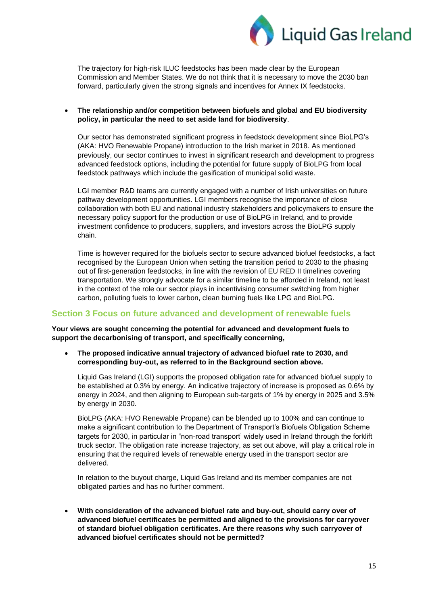

The trajectory for high-risk ILUC feedstocks has been made clear by the European Commission and Member States. We do not think that it is necessary to move the 2030 ban forward, particularly given the strong signals and incentives for Annex IX feedstocks.

## • **The relationship and/or competition between biofuels and global and EU biodiversity policy, in particular the need to set aside land for biodiversity**.

Our sector has demonstrated significant progress in feedstock development since BioLPG's (AKA: HVO Renewable Propane) introduction to the Irish market in 2018. As mentioned previously, our sector continues to invest in significant research and development to progress advanced feedstock options, including the potential for future supply of BioLPG from local feedstock pathways which include the gasification of municipal solid waste.

LGI member R&D teams are currently engaged with a number of Irish universities on future pathway development opportunities. LGI members recognise the importance of close collaboration with both EU and national industry stakeholders and policymakers to ensure the necessary policy support for the production or use of BioLPG in Ireland, and to provide investment confidence to producers, suppliers, and investors across the BioLPG supply chain.

Time is however required for the biofuels sector to secure advanced biofuel feedstocks, a fact recognised by the European Union when setting the transition period to 2030 to the phasing out of first-generation feedstocks, in line with the revision of EU RED II timelines covering transportation. We strongly advocate for a similar timeline to be afforded in Ireland, not least in the context of the role our sector plays in incentivising consumer switching from higher carbon, polluting fuels to lower carbon, clean burning fuels like LPG and BioLPG.

## **Section 3 Focus on future advanced and development of renewable fuels**

**Your views are sought concerning the potential for advanced and development fuels to support the decarbonising of transport, and specifically concerning,**

• **The proposed indicative annual trajectory of advanced biofuel rate to 2030, and corresponding buy-out, as referred to in the Background section above.**

Liquid Gas Ireland (LGI) supports the proposed obligation rate for advanced biofuel supply to be established at 0.3% by energy. An indicative trajectory of increase is proposed as 0.6% by energy in 2024, and then aligning to European sub-targets of 1% by energy in 2025 and 3.5% by energy in 2030.

BioLPG (AKA: HVO Renewable Propane) can be blended up to 100% and can continue to make a significant contribution to the Department of Transport's Biofuels Obligation Scheme targets for 2030, in particular in "non-road transport' widely used in Ireland through the forklift truck sector. The obligation rate increase trajectory, as set out above, will play a critical role in ensuring that the required levels of renewable energy used in the transport sector are delivered.

In relation to the buyout charge, Liquid Gas Ireland and its member companies are not obligated parties and has no further comment.

• **With consideration of the advanced biofuel rate and buy-out, should carry over of advanced biofuel certificates be permitted and aligned to the provisions for carryover of standard biofuel obligation certificates. Are there reasons why such carryover of advanced biofuel certificates should not be permitted?**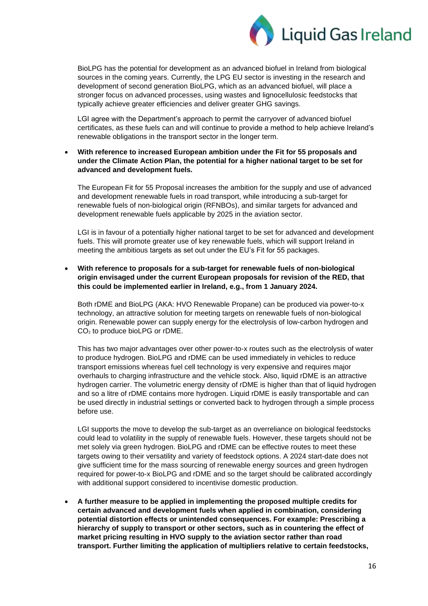

BioLPG has the potential for development as an advanced biofuel in Ireland from biological sources in the coming years. Currently, the LPG EU sector is investing in the research and development of second generation BioLPG, which as an advanced biofuel, will place a stronger focus on advanced processes, using wastes and lignocellulosic feedstocks that typically achieve greater efficiencies and deliver greater GHG savings.

LGI agree with the Department's approach to permit the carryover of advanced biofuel certificates, as these fuels can and will continue to provide a method to help achieve Ireland's renewable obligations in the transport sector in the longer term.

• **With reference to increased European ambition under the Fit for 55 proposals and under the Climate Action Plan, the potential for a higher national target to be set for advanced and development fuels.**

The European Fit for 55 Proposal increases the ambition for the supply and use of advanced and development renewable fuels in road transport, while introducing a sub-target for renewable fuels of non-biological origin (RFNBOs), and similar targets for advanced and development renewable fuels applicable by 2025 in the aviation sector.

LGI is in favour of a potentially higher national target to be set for advanced and development fuels. This will promote greater use of key renewable fuels, which will support Ireland in meeting the ambitious targets as set out under the EU's Fit for 55 packages.

• **With reference to proposals for a sub-target for renewable fuels of non-biological origin envisaged under the current European proposals for revision of the RED, that this could be implemented earlier in Ireland, e.g., from 1 January 2024.**

Both rDME and BioLPG (AKA: HVO Renewable Propane) can be produced via power-to-x technology, an attractive solution for meeting targets on renewable fuels of non-biological origin. Renewable power can supply energy for the electrolysis of low-carbon hydrogen and CO<sub>2</sub> to produce bioLPG or rDME.

This has two major advantages over other power-to-x routes such as the electrolysis of water to produce hydrogen. BioLPG and rDME can be used immediately in vehicles to reduce transport emissions whereas fuel cell technology is very expensive and requires major overhauls to charging infrastructure and the vehicle stock. Also, liquid rDME is an attractive hydrogen carrier. The volumetric energy density of rDME is higher than that of liquid hydrogen and so a litre of rDME contains more hydrogen. Liquid rDME is easily transportable and can be used directly in industrial settings or converted back to hydrogen through a simple process before use.

LGI supports the move to develop the sub-target as an overreliance on biological feedstocks could lead to volatility in the supply of renewable fuels. However, these targets should not be met solely via green hydrogen. BioLPG and rDME can be effective routes to meet these targets owing to their versatility and variety of feedstock options. A 2024 start-date does not give sufficient time for the mass sourcing of renewable energy sources and green hydrogen required for power-to-x BioLPG and rDME and so the target should be calibrated accordingly with additional support considered to incentivise domestic production.

• **A further measure to be applied in implementing the proposed multiple credits for certain advanced and development fuels when applied in combination, considering potential distortion effects or unintended consequences. For example: Prescribing a hierarchy of supply to transport or other sectors, such as in countering the effect of market pricing resulting in HVO supply to the aviation sector rather than road transport. Further limiting the application of multipliers relative to certain feedstocks,**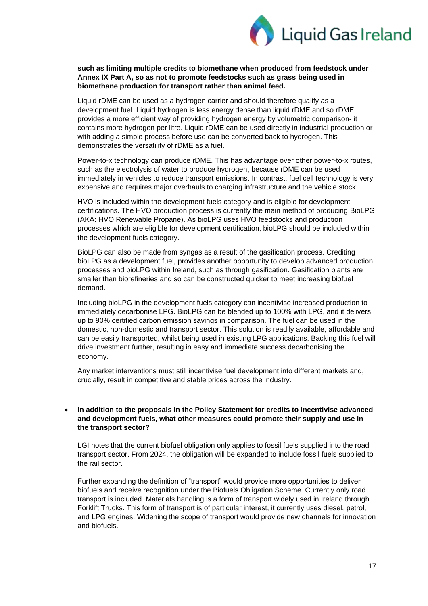

#### **such as limiting multiple credits to biomethane when produced from feedstock under Annex IX Part A, so as not to promote feedstocks such as grass being used in biomethane production for transport rather than animal feed.**

Liquid rDME can be used as a hydrogen carrier and should therefore qualify as a development fuel. Liquid hydrogen is less energy dense than liquid rDME and so rDME provides a more efficient way of providing hydrogen energy by volumetric comparison- it contains more hydrogen per litre. Liquid rDME can be used directly in industrial production or with adding a simple process before use can be converted back to hydrogen. This demonstrates the versatility of rDME as a fuel.

Power-to-x technology can produce rDME. This has advantage over other power-to-x routes, such as the electrolysis of water to produce hydrogen, because rDME can be used immediately in vehicles to reduce transport emissions. In contrast, fuel cell technology is very expensive and requires major overhauls to charging infrastructure and the vehicle stock.

HVO is included within the development fuels category and is eligible for development certifications. The HVO production process is currently the main method of producing BioLPG (AKA: HVO Renewable Propane). As bioLPG uses HVO feedstocks and production processes which are eligible for development certification, bioLPG should be included within the development fuels category.

BioLPG can also be made from syngas as a result of the gasification process. Crediting bioLPG as a development fuel, provides another opportunity to develop advanced production processes and bioLPG within Ireland, such as through gasification. Gasification plants are smaller than biorefineries and so can be constructed quicker to meet increasing biofuel demand.

Including bioLPG in the development fuels category can incentivise increased production to immediately decarbonise LPG. BioLPG can be blended up to 100% with LPG, and it delivers up to 90% certified carbon emission savings in comparison. The fuel can be used in the domestic, non-domestic and transport sector. This solution is readily available, affordable and can be easily transported, whilst being used in existing LPG applications. Backing this fuel will drive investment further, resulting in easy and immediate success decarbonising the economy.

Any market interventions must still incentivise fuel development into different markets and, crucially, result in competitive and stable prices across the industry.

#### • **In addition to the proposals in the Policy Statement for credits to incentivise advanced and development fuels, what other measures could promote their supply and use in the transport sector?**

LGI notes that the current biofuel obligation only applies to fossil fuels supplied into the road transport sector. From 2024, the obligation will be expanded to include fossil fuels supplied to the rail sector.

Further expanding the definition of "transport" would provide more opportunities to deliver biofuels and receive recognition under the Biofuels Obligation Scheme. Currently only road transport is included. Materials handling is a form of transport widely used in Ireland through Forklift Trucks. This form of transport is of particular interest, it currently uses diesel, petrol, and LPG engines. Widening the scope of transport would provide new channels for innovation and biofuels.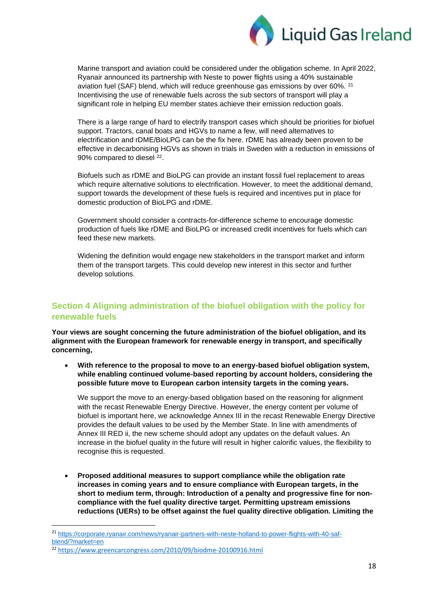

Marine transport and aviation could be considered under the obligation scheme. In April 2022, Ryanair announced its partnership with Neste to power flights using a 40% sustainable aviation fuel (SAF) blend, which will reduce greenhouse gas emissions by over 60%. <sup>21</sup> Incentivising the use of renewable fuels across the sub sectors of transport will play a significant role in helping EU member states achieve their emission reduction goals.

There is a large range of hard to electrify transport cases which should be priorities for biofuel support. Tractors, canal boats and HGVs to name a few, will need alternatives to electrification and rDME/BioLPG can be the fix here. rDME has already been proven to be effective in decarbonising HGVs as shown in trials in Sweden with a reduction in emissions of 90% compared to diesel <sup>22</sup>.

Biofuels such as rDME and BioLPG can provide an instant fossil fuel replacement to areas which require alternative solutions to electrification. However, to meet the additional demand, support towards the development of these fuels is required and incentives put in place for domestic production of BioLPG and rDME.

Government should consider a contracts-for-difference scheme to encourage domestic production of fuels like rDME and BioLPG or increased credit incentives for fuels which can feed these new markets.

Widening the definition would engage new stakeholders in the transport market and inform them of the transport targets. This could develop new interest in this sector and further develop solutions.

# **Section 4 Aligning administration of the biofuel obligation with the policy for renewable fuels**

**Your views are sought concerning the future administration of the biofuel obligation, and its alignment with the European framework for renewable energy in transport, and specifically concerning,**

• **With reference to the proposal to move to an energy-based biofuel obligation system, while enabling continued volume-based reporting by account holders, considering the possible future move to European carbon intensity targets in the coming years.**

We support the move to an energy-based obligation based on the reasoning for alignment with the recast Renewable Energy Directive. However, the energy content per volume of biofuel is important here, we acknowledge Annex III in the recast Renewable Energy Directive provides the default values to be used by the Member State. In line with amendments of Annex III RED ii, the new scheme should adopt any updates on the default values. An increase in the biofuel quality in the future will result in higher calorific values, the flexibility to recognise this is requested.

• **Proposed additional measures to support compliance while the obligation rate increases in coming years and to ensure compliance with European targets, in the short to medium term, through: Introduction of a penalty and progressive fine for noncompliance with the fuel quality directive target. Permitting upstream emissions reductions (UERs) to be offset against the fuel quality directive obligation. Limiting the** 

<sup>21</sup> [https://corporate.ryanair.com/news/ryanair-partners-with-neste-holland-to-power-flights-with-40-saf](https://corporate.ryanair.com/news/ryanair-partners-with-neste-holland-to-power-flights-with-40-saf-blend/?market=en)[blend/?market=en](https://corporate.ryanair.com/news/ryanair-partners-with-neste-holland-to-power-flights-with-40-saf-blend/?market=en)

<sup>22</sup> <https://www.greencarcongress.com/2010/09/biodme-20100916.html>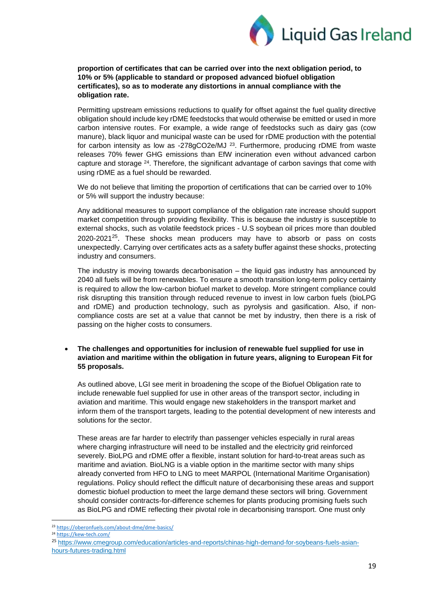

**proportion of certificates that can be carried over into the next obligation period, to 10% or 5% (applicable to standard or proposed advanced biofuel obligation certificates), so as to moderate any distortions in annual compliance with the obligation rate.**

Permitting upstream emissions reductions to qualify for offset against the fuel quality directive obligation should include key rDME feedstocks that would otherwise be emitted or used in more carbon intensive routes. For example, a wide range of feedstocks such as dairy gas (cow manure), black liquor and municipal waste can be used for rDME production with the potential for carbon intensity as low as -278gCO2e/MJ <sup>23</sup>. Furthermore, producing rDME from waste releases 70% fewer GHG emissions than EfW incineration even without advanced carbon capture and storage <sup>24</sup>. Therefore, the significant advantage of carbon savings that come with using rDME as a fuel should be rewarded.

We do not believe that limiting the proportion of certifications that can be carried over to 10% or 5% will support the industry because:

Any additional measures to support compliance of the obligation rate increase should support market competition through providing flexibility. This is because the industry is susceptible to external shocks, such as volatile feedstock prices - U.S soybean oil prices more than doubled  $2020-2021^{25}$ . These shocks mean producers may have to absorb or pass on costs unexpectedly. Carrying over certificates acts as a safety buffer against these shocks, protecting industry and consumers.

The industry is moving towards decarbonisation – the liquid gas industry has announced by 2040 all fuels will be from renewables. To ensure a smooth transition long-term policy certainty is required to allow the low-carbon biofuel market to develop. More stringent compliance could risk disrupting this transition through reduced revenue to invest in low carbon fuels (bioLPG and rDME) and production technology, such as pyrolysis and gasification. Also, if noncompliance costs are set at a value that cannot be met by industry, then there is a risk of passing on the higher costs to consumers.

• **The challenges and opportunities for inclusion of renewable fuel supplied for use in aviation and maritime within the obligation in future years, aligning to European Fit for 55 proposals.**

As outlined above, LGI see merit in broadening the scope of the Biofuel Obligation rate to include renewable fuel supplied for use in other areas of the transport sector, including in aviation and maritime. This would engage new stakeholders in the transport market and inform them of the transport targets, leading to the potential development of new interests and solutions for the sector.

These areas are far harder to electrify than passenger vehicles especially in rural areas where charging infrastructure will need to be installed and the electricity grid reinforced severely. BioLPG and rDME offer a flexible, instant solution for hard-to-treat areas such as maritime and aviation. BioLNG is a viable option in the maritime sector with many ships already converted from HFO to LNG to meet MARPOL (International Maritime Organisation) regulations. Policy should reflect the difficult nature of decarbonising these areas and support domestic biofuel production to meet the large demand these sectors will bring. Government should consider contracts-for-difference schemes for plants producing promising fuels such as BioLPG and rDME reflecting their pivotal role in decarbonising transport. One must only

<sup>23</sup> <https://oberonfuels.com/about-dme/dme-basics/>

<sup>&</sup>lt;sup>24</sup> <https://kew-tech.com/>

<sup>&</sup>lt;sup>25</sup> [https://www.cmegroup.com/education/articles-and-reports/chinas-high-demand-for-soybeans-fuels-asian](https://www.cmegroup.com/education/articles-and-reports/chinas-high-demand-for-soybeans-fuels-asian-hours-futures-trading.html)[hours-futures-trading.html](https://www.cmegroup.com/education/articles-and-reports/chinas-high-demand-for-soybeans-fuels-asian-hours-futures-trading.html)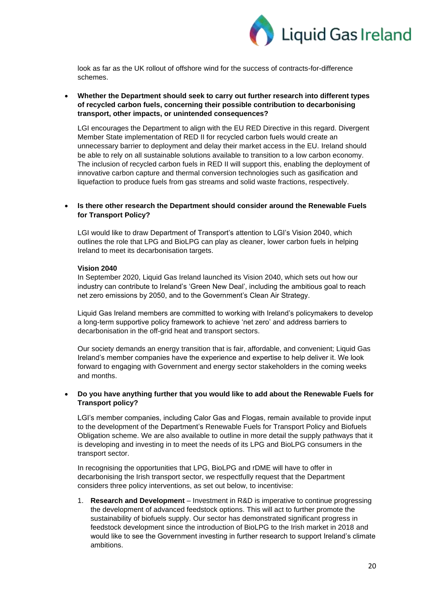

look as far as the UK rollout of offshore wind for the success of contracts-for-difference schemes.

#### • **Whether the Department should seek to carry out further research into different types of recycled carbon fuels, concerning their possible contribution to decarbonising transport, other impacts, or unintended consequences?**

LGI encourages the Department to align with the EU RED Directive in this regard. Divergent Member State implementation of RED II for recycled carbon fuels would create an unnecessary barrier to deployment and delay their market access in the EU. Ireland should be able to rely on all sustainable solutions available to transition to a low carbon economy. The inclusion of recycled carbon fuels in RED II will support this, enabling the deployment of innovative carbon capture and thermal conversion technologies such as gasification and liquefaction to produce fuels from gas streams and solid waste fractions, respectively.

## • **Is there other research the Department should consider around the Renewable Fuels for Transport Policy?**

LGI would like to draw Department of Transport's attention to LGI's Vision 2040, which outlines the role that LPG and BioLPG can play as cleaner, lower carbon fuels in helping Ireland to meet its decarbonisation targets.

#### **Vision 2040**

In September 2020, Liquid Gas Ireland launched its Vision 2040, which sets out how our industry can contribute to Ireland's 'Green New Deal', including the ambitious goal to reach net zero emissions by 2050, and to the Government's Clean Air Strategy.

Liquid Gas Ireland members are committed to working with Ireland's policymakers to develop a long-term supportive policy framework to achieve 'net zero' and address barriers to decarbonisation in the off-grid heat and transport sectors.

Our society demands an energy transition that is fair, affordable, and convenient; Liquid Gas Ireland's member companies have the experience and expertise to help deliver it. We look forward to engaging with Government and energy sector stakeholders in the coming weeks and months.

#### • **Do you have anything further that you would like to add about the Renewable Fuels for Transport policy?**

LGI's member companies, including Calor Gas and Flogas, remain available to provide input to the development of the Department's Renewable Fuels for Transport Policy and Biofuels Obligation scheme. We are also available to outline in more detail the supply pathways that it is developing and investing in to meet the needs of its LPG and BioLPG consumers in the transport sector.

In recognising the opportunities that LPG, BioLPG and rDME will have to offer in decarbonising the Irish transport sector, we respectfully request that the Department considers three policy interventions, as set out below, to incentivise:

1. **Research and Development** – Investment in R&D is imperative to continue progressing the development of advanced feedstock options. This will act to further promote the sustainability of biofuels supply. Our sector has demonstrated significant progress in feedstock development since the introduction of BioLPG to the Irish market in 2018 and would like to see the Government investing in further research to support Ireland's climate ambitions.